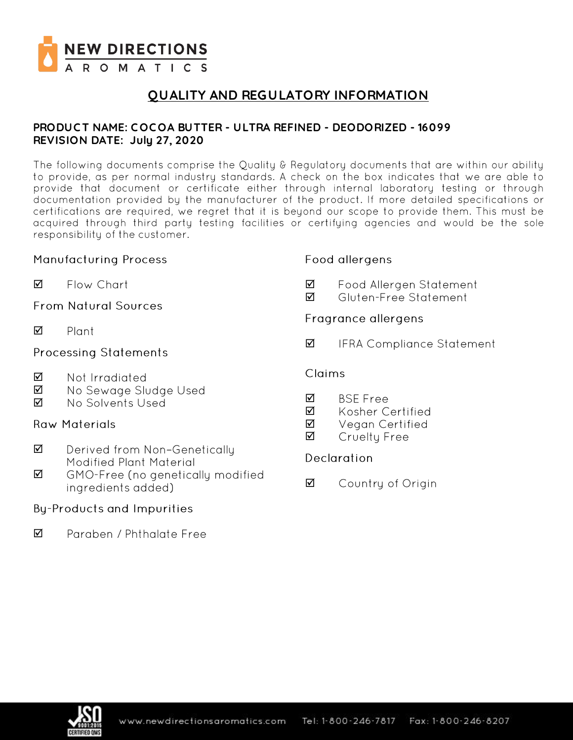

## **QUALITY AND REGULATORY INFORMATION**

#### **PRODUC T NAME: C OC OA BUTTER - ULTRA REFINED - DEODORIZED - 16099 REVISION DATE: July 27, 2020**

The following documents comprise the Quality & Regulatory documents that are within our ability to provide, as per normal industry standards. A check on the box indicates that we are able to provide that document or certificate either through internal laboratory testing or through documentation provided by the manufacturer of the product. If more detailed specifications or certifications are required, we regret that it is beyond our scope to provide them. This must be acquired through third party testing facilities or certifying agencies and would be the sole responsibility of the customer.

#### **Manufacturing Process**

Flow Chart

**From Natural Sources** 

#### Food allergens

- ☑ Food Allergen Statement
- Gluten-Free Statement ☑

#### Fragrance allergens

☑ **IFRA Compliance Statement** 

# **Processing Statements**

Not Irradiated ☑

Plant

- ☑ No Sewage Sludge Used
- No Solvents Used  $\overline{\mathsf{M}}$

### **Raw Materials**

☑

☑

- ☑ Derived from Non-Genetically Modified Plant Material
- ☑ GMO-Free (no genetically modified ingredients added)

### **By-Products and Impurities**

☑ Paraben / Phthalate Free

#### Claims

- ☑ **BSE Free**
- ☑ Kosher Certified
- ☑ Vegan Certified
- ☑ Cruelty Free

### Declaration

☑ Country of Origin

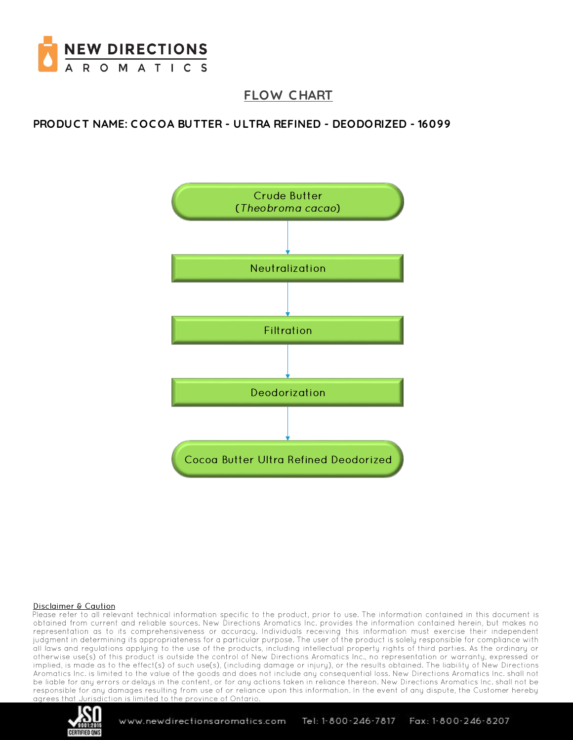

## **FLOW C HART**

### **PRODUC T NAME: C OC OA BUTTER - ULTRA REFINED - DEODORIZED - 16099**



#### **Disclaimer & Caution**

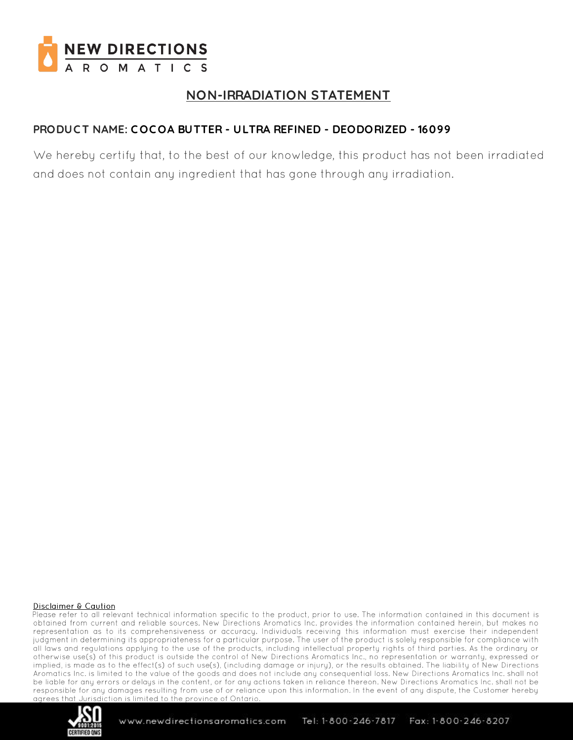

## **NON-IRRADIATION STATEMENT**

### **PRODUC T NAME: C OC OA BUTTER - ULTRA REFINED - DEODORIZED - 16099**

We hereby certify that, to the best of our knowledge, this product has not been irradiated and does not contain any ingredient that has gone through any irradiation.

#### Disclaimer & Caution

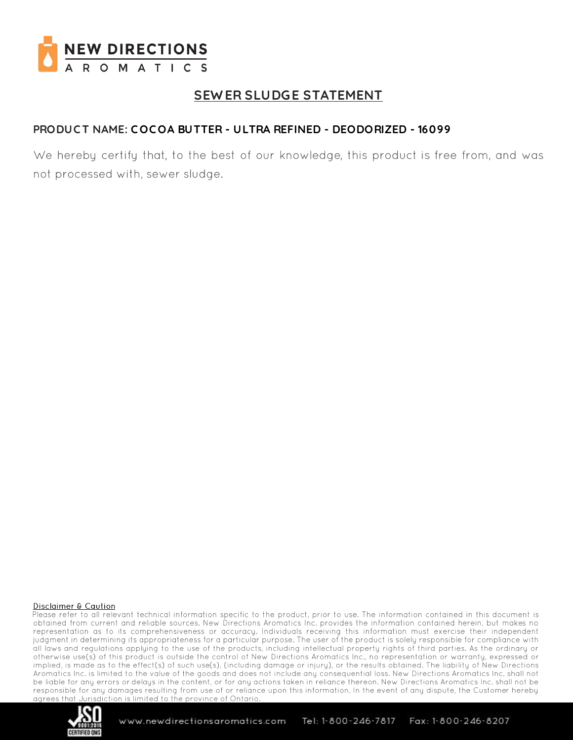

## **SEW ER SLUDGE STATEMENT**

### **PRODUC T NAME: C OC OA BUTTER - ULTRA REFINED - DEODORIZED - 16099**

We hereby certify that, to the best of our knowledge, this product is free from, and was not processed with, sewer sludge.

#### **Disclaimer & Caution**

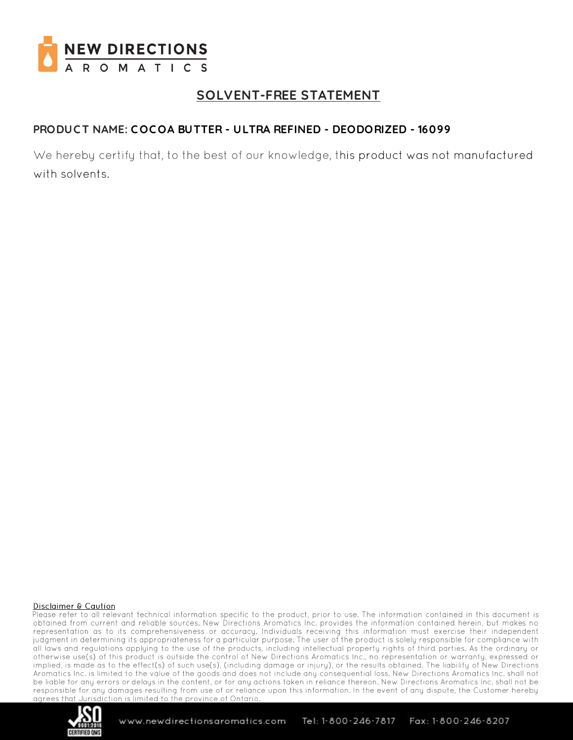

## **SOLVENT-FREE STATEMENT**

### **PRODUC T NAME: C OC OA BUTTER - ULTRA REFINED - DEODORIZED - 16099**

We hereby certify that, to the best of our knowledge, this product was not manufactured with solvents.

#### **Disclaimer & Caution**

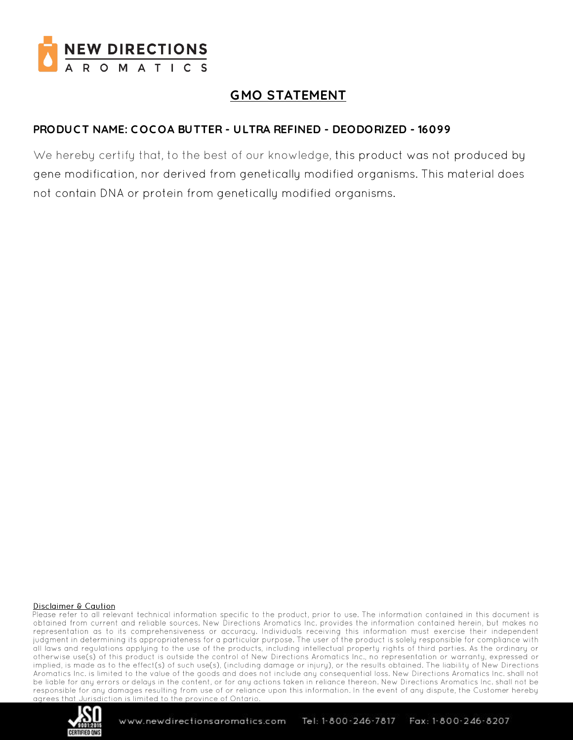

## **GMO STATEMENT**

### **PRODUC T NAME: C OC OA BUTTER - ULTRA REFINED - DEODORIZED - 16099**

We hereby certify that, to the best of our knowledge, this product was not produced by gene modification, nor derived from genetically modified organisms. This material does not contain DNA or protein from genetically modified organisms.

#### Disclaimer & Caution

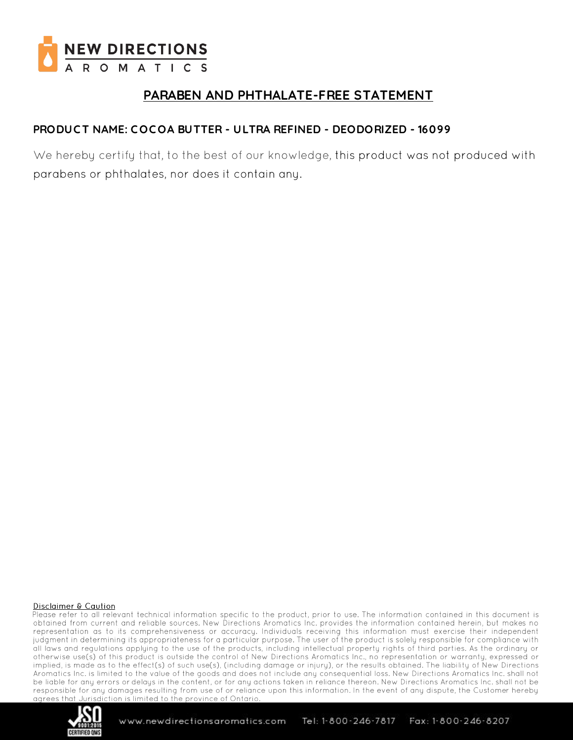

### **PARABEN AND PHTHALATE-FREE STATEMENT**

### **PRODUC T NAME: C OC OA BUTTER - ULTRA REFINED - DEODORIZED - 16099**

We hereby certify that, to the best of our knowledge, this product was not produced with parabens or phthalates, nor does it contain any.

#### Disclaimer & Caution

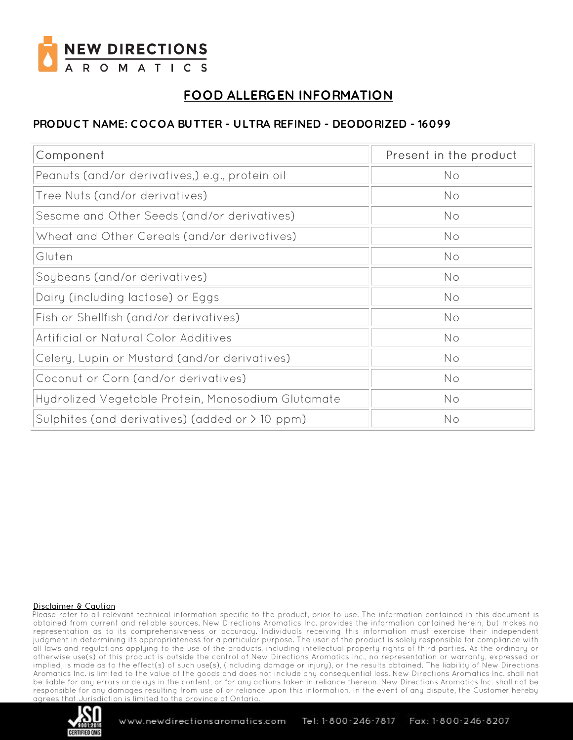

## **FOOD ALLERGEN INFORMATION**

### **PRODUC T NAME: C OC OA BUTTER - ULTRA REFINED - DEODORIZED - 16099**

| Component                                            | Present in the product |
|------------------------------------------------------|------------------------|
| Peanuts (and/or derivatives,) e.g., protein oil      | No                     |
| Tree Nuts (and/or derivatives)                       | No                     |
| Sesame and Other Seeds (and/or derivatives)          | No                     |
| Wheat and Other Cereals (and/or derivatives)         | No                     |
| Gluten                                               | No                     |
| Soybeans (and/or derivatives)                        | No                     |
| Dairy (including lactose) or Eggs                    | No                     |
| Fish or Shellfish (and/or derivatives)               | No                     |
| <b>Artificial or Natural Color Additives</b>         | No                     |
| Celery, Lupin or Mustard (and/or derivatives)        | No                     |
| Coconut or Corn (and/or derivatives)                 | No                     |
| Hydrolized Vegetable Protein, Monosodium Glutamate   | No                     |
| Sulphites (and derivatives) (added or $\geq$ 10 ppm) | No                     |

#### **Disclaimer & Caution**

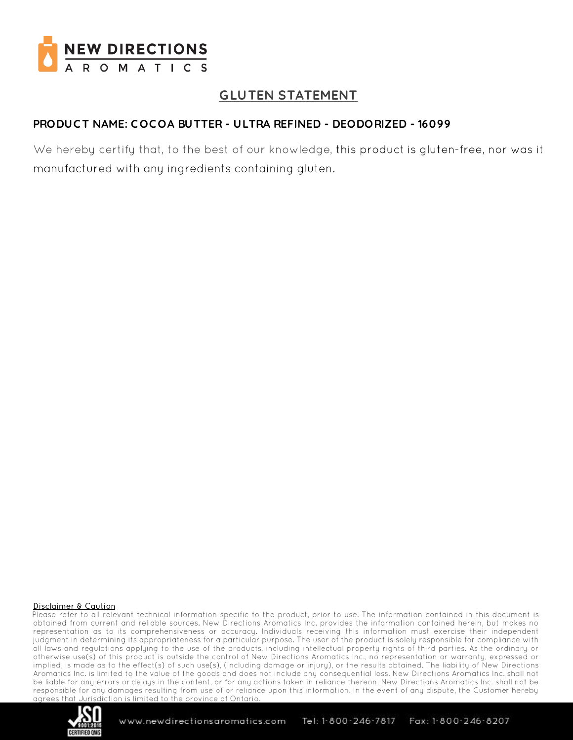

## **GLUTEN STATEMENT**

## **PRODUC T NAME: C OC OA BUTTER - ULTRA REFINED - DEODORIZED - 16099**

We hereby certify that, to the best of our knowledge, this product is gluten-free, nor was it manufactured with any ingredients containing gluten.

#### Disclaimer & Caution

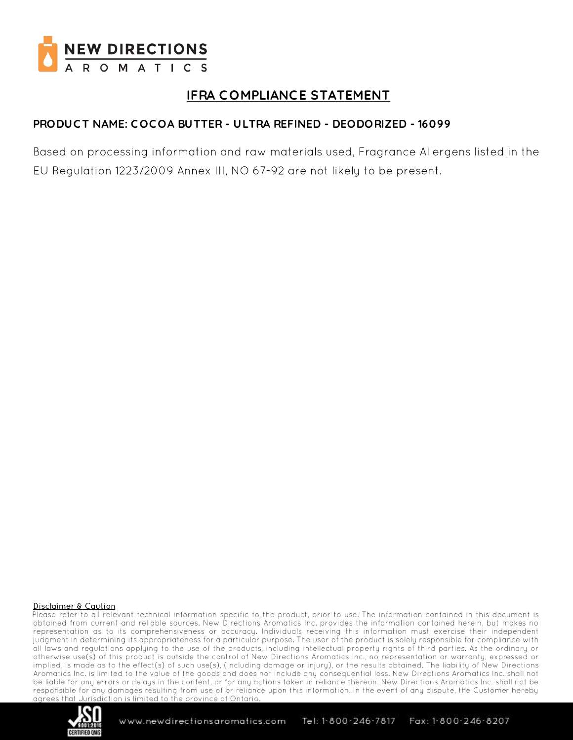

## **IFRA C OMPLIANCE STATEMENT**

## **PRODUC T NAME: C OC OA BUTTER - ULTRA REFINED - DEODORIZED - 16099**

Based on processing information and raw materials used, Fragrance Allergens listed in the EU Regulation 1223/2009 Annex III, NO 67-92 are not likely to be present.

#### Disclaimer & Caution

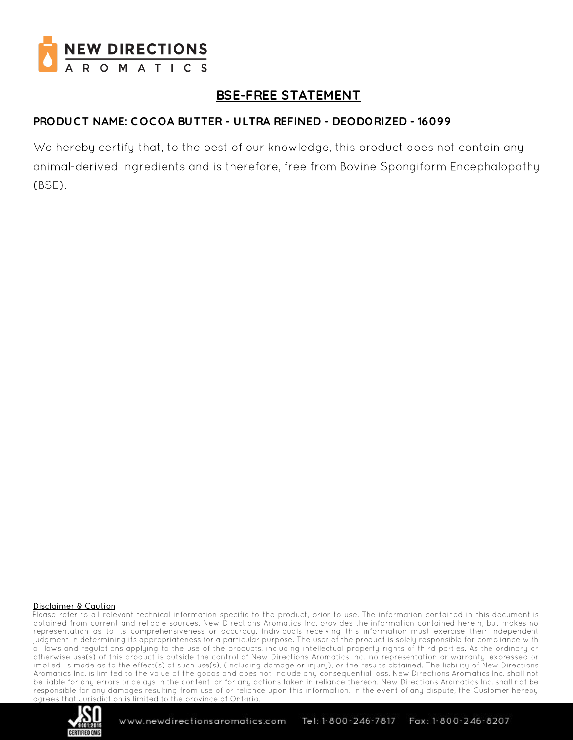

## **BSE-FREE STATEMENT**

## **PRODUC T NAME: C OC OA BUTTER - ULTRA REFINED - DEODORIZED - 16099**

We hereby certify that, to the best of our knowledge, this product does not contain any animal-derived ingredients and is therefore, free from Bovine Spongiform Encephalopathy  $(BSE)$ .

#### Disclaimer & Caution

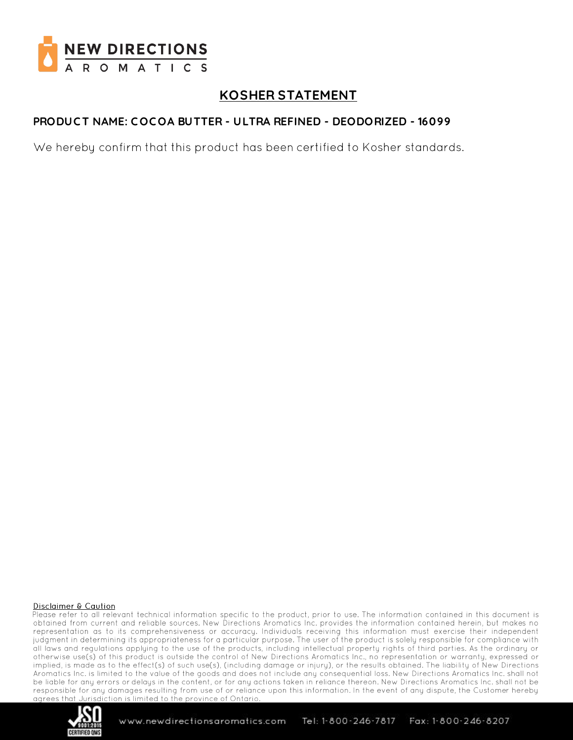

## **KOSHER STATEMENT**

### **PRODUC T NAME: C OC OA BUTTER - ULTRA REFINED - DEODORIZED - 16099**

We hereby confirm that this product has been certified to Kosher standards.

#### **Disclaimer & Caution**

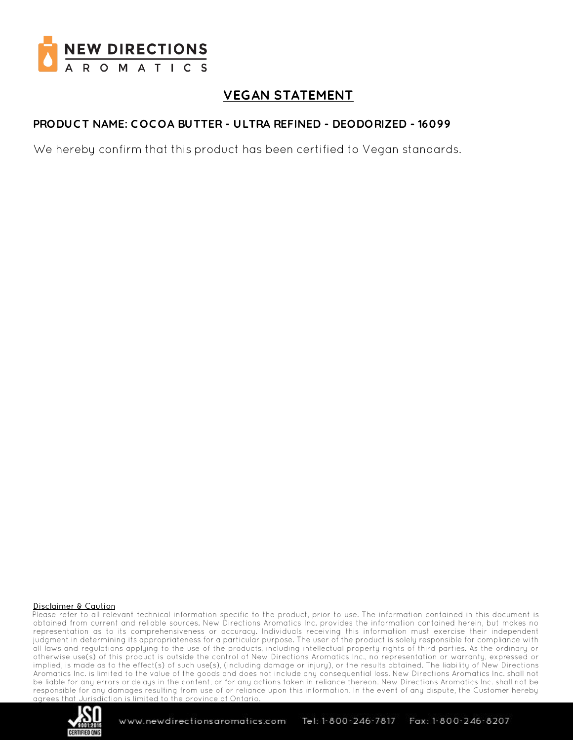

## **VEGAN STATEMENT**

## **PRODUC T NAME: C OC OA BUTTER - ULTRA REFINED - DEODORIZED - 16099**

We hereby confirm that this product has been certified to Vegan standards.

#### **Disclaimer & Caution**

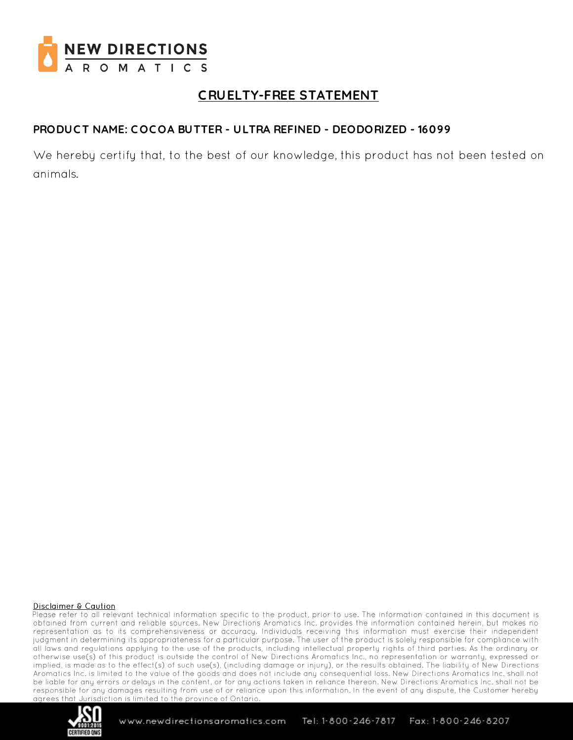

## **C RUELTY-FREE STATEMENT**

### **PRODUC T NAME: C OC OA BUTTER - ULTRA REFINED - DEODORIZED - 16099**

We hereby certify that, to the best of our knowledge, this product has not been tested on animals.

#### **Disclaimer & Caution**